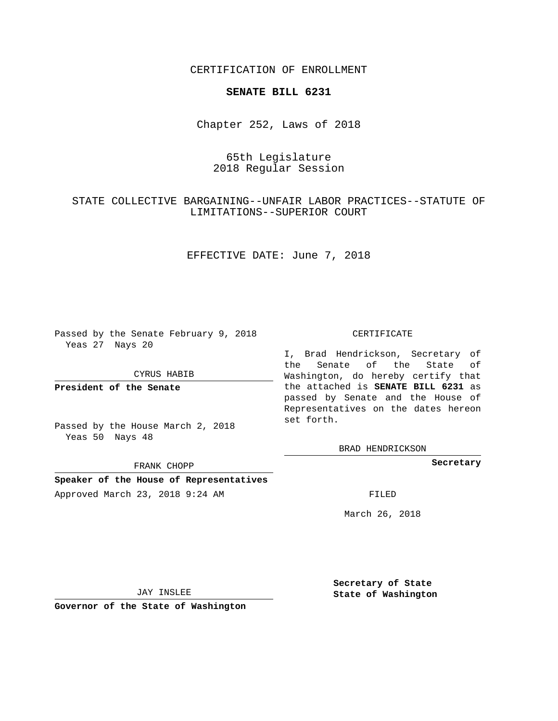CERTIFICATION OF ENROLLMENT

### **SENATE BILL 6231**

Chapter 252, Laws of 2018

# 65th Legislature 2018 Regular Session

# STATE COLLECTIVE BARGAINING--UNFAIR LABOR PRACTICES--STATUTE OF LIMITATIONS--SUPERIOR COURT

EFFECTIVE DATE: June 7, 2018

Passed by the Senate February 9, 2018 Yeas 27 Nays 20

CYRUS HABIB

**President of the Senate**

Passed by the House March 2, 2018 Yeas 50 Nays 48

FRANK CHOPP

# **Speaker of the House of Representatives**

Approved March 23, 2018 9:24 AM FILED

#### CERTIFICATE

I, Brad Hendrickson, Secretary of the Senate of the State of Washington, do hereby certify that the attached is **SENATE BILL 6231** as passed by Senate and the House of Representatives on the dates hereon set forth.

BRAD HENDRICKSON

**Secretary**

March 26, 2018

JAY INSLEE

**Governor of the State of Washington**

**Secretary of State State of Washington**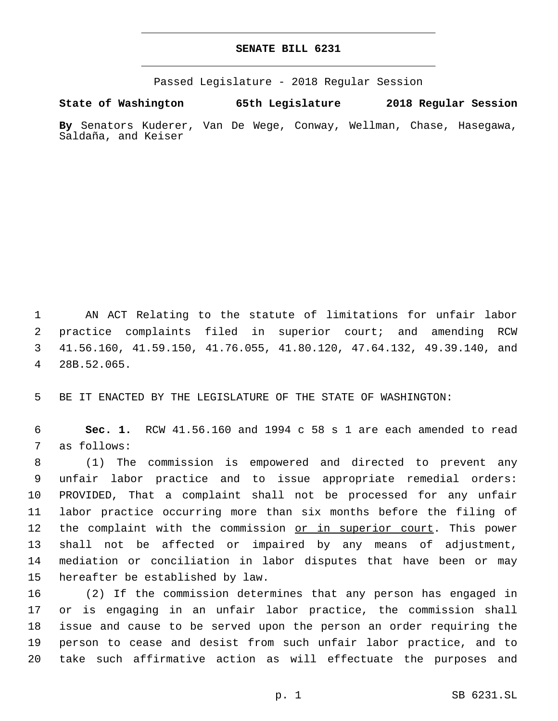## **SENATE BILL 6231**

Passed Legislature - 2018 Regular Session

**State of Washington 65th Legislature 2018 Regular Session By** Senators Kuderer, Van De Wege, Conway, Wellman, Chase, Hasegawa, Saldaña, and Keiser

 AN ACT Relating to the statute of limitations for unfair labor practice complaints filed in superior court; and amending RCW 41.56.160, 41.59.150, 41.76.055, 41.80.120, 47.64.132, 49.39.140, and 28B.52.065.4

BE IT ENACTED BY THE LEGISLATURE OF THE STATE OF WASHINGTON:

 **Sec. 1.** RCW 41.56.160 and 1994 c 58 s 1 are each amended to read 7 as follows:

 (1) The commission is empowered and directed to prevent any unfair labor practice and to issue appropriate remedial orders: PROVIDED, That a complaint shall not be processed for any unfair labor practice occurring more than six months before the filing of 12 the complaint with the commission or in superior court. This power shall not be affected or impaired by any means of adjustment, mediation or conciliation in labor disputes that have been or may 15 hereafter be established by law.

 (2) If the commission determines that any person has engaged in or is engaging in an unfair labor practice, the commission shall issue and cause to be served upon the person an order requiring the person to cease and desist from such unfair labor practice, and to take such affirmative action as will effectuate the purposes and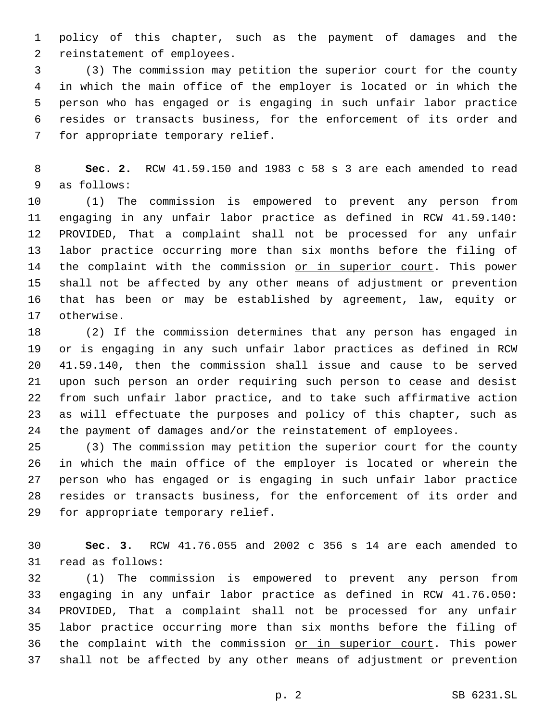policy of this chapter, such as the payment of damages and the 2 reinstatement of employees.

 (3) The commission may petition the superior court for the county in which the main office of the employer is located or in which the person who has engaged or is engaging in such unfair labor practice resides or transacts business, for the enforcement of its order and 7 for appropriate temporary relief.

 **Sec. 2.** RCW 41.59.150 and 1983 c 58 s 3 are each amended to read 9 as follows:

 (1) The commission is empowered to prevent any person from engaging in any unfair labor practice as defined in RCW 41.59.140: PROVIDED, That a complaint shall not be processed for any unfair labor practice occurring more than six months before the filing of 14 the complaint with the commission or in superior court. This power shall not be affected by any other means of adjustment or prevention that has been or may be established by agreement, law, equity or 17 otherwise.

 (2) If the commission determines that any person has engaged in or is engaging in any such unfair labor practices as defined in RCW 41.59.140, then the commission shall issue and cause to be served upon such person an order requiring such person to cease and desist from such unfair labor practice, and to take such affirmative action as will effectuate the purposes and policy of this chapter, such as the payment of damages and/or the reinstatement of employees.

 (3) The commission may petition the superior court for the county in which the main office of the employer is located or wherein the person who has engaged or is engaging in such unfair labor practice resides or transacts business, for the enforcement of its order and 29 for appropriate temporary relief.

 **Sec. 3.** RCW 41.76.055 and 2002 c 356 s 14 are each amended to 31 read as follows:

 (1) The commission is empowered to prevent any person from engaging in any unfair labor practice as defined in RCW 41.76.050: PROVIDED, That a complaint shall not be processed for any unfair labor practice occurring more than six months before the filing of 36 the complaint with the commission or in superior court. This power shall not be affected by any other means of adjustment or prevention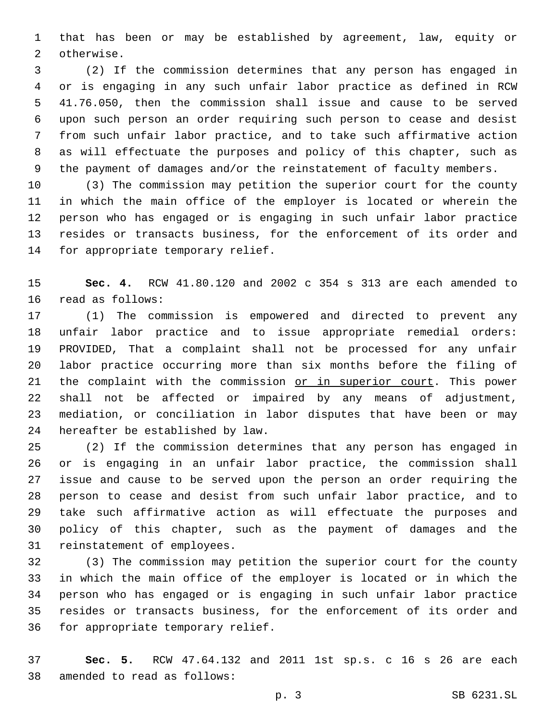that has been or may be established by agreement, law, equity or 2 otherwise.

 (2) If the commission determines that any person has engaged in or is engaging in any such unfair labor practice as defined in RCW 41.76.050, then the commission shall issue and cause to be served upon such person an order requiring such person to cease and desist from such unfair labor practice, and to take such affirmative action as will effectuate the purposes and policy of this chapter, such as the payment of damages and/or the reinstatement of faculty members.

 (3) The commission may petition the superior court for the county in which the main office of the employer is located or wherein the person who has engaged or is engaging in such unfair labor practice resides or transacts business, for the enforcement of its order and 14 for appropriate temporary relief.

 **Sec. 4.** RCW 41.80.120 and 2002 c 354 s 313 are each amended to 16 read as follows:

 (1) The commission is empowered and directed to prevent any unfair labor practice and to issue appropriate remedial orders: PROVIDED, That a complaint shall not be processed for any unfair labor practice occurring more than six months before the filing of 21 the complaint with the commission or in superior court. This power shall not be affected or impaired by any means of adjustment, mediation, or conciliation in labor disputes that have been or may 24 hereafter be established by law.

 (2) If the commission determines that any person has engaged in or is engaging in an unfair labor practice, the commission shall issue and cause to be served upon the person an order requiring the person to cease and desist from such unfair labor practice, and to take such affirmative action as will effectuate the purposes and policy of this chapter, such as the payment of damages and the 31 reinstatement of employees.

 (3) The commission may petition the superior court for the county in which the main office of the employer is located or in which the person who has engaged or is engaging in such unfair labor practice resides or transacts business, for the enforcement of its order and 36 for appropriate temporary relief.

 **Sec. 5.** RCW 47.64.132 and 2011 1st sp.s. c 16 s 26 are each 38 amended to read as follows: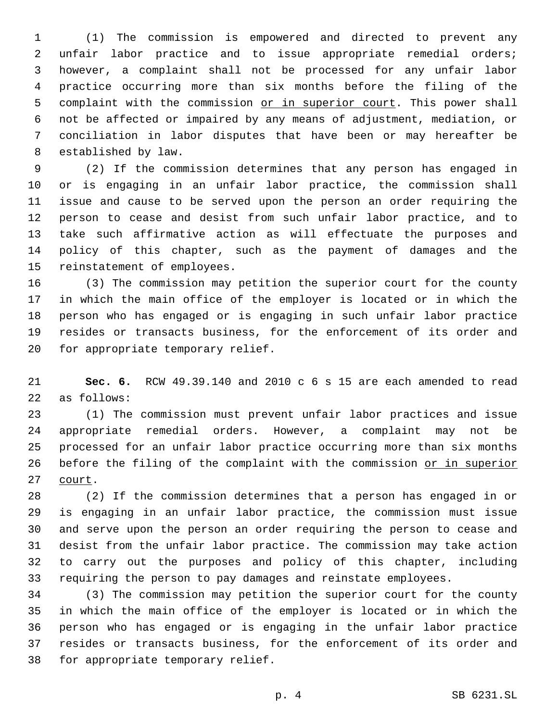(1) The commission is empowered and directed to prevent any unfair labor practice and to issue appropriate remedial orders; however, a complaint shall not be processed for any unfair labor practice occurring more than six months before the filing of the complaint with the commission or in superior court. This power shall not be affected or impaired by any means of adjustment, mediation, or conciliation in labor disputes that have been or may hereafter be 8 established by law.

 (2) If the commission determines that any person has engaged in or is engaging in an unfair labor practice, the commission shall issue and cause to be served upon the person an order requiring the person to cease and desist from such unfair labor practice, and to take such affirmative action as will effectuate the purposes and policy of this chapter, such as the payment of damages and the 15 reinstatement of employees.

 (3) The commission may petition the superior court for the county in which the main office of the employer is located or in which the person who has engaged or is engaging in such unfair labor practice resides or transacts business, for the enforcement of its order and 20 for appropriate temporary relief.

 **Sec. 6.** RCW 49.39.140 and 2010 c 6 s 15 are each amended to read 22 as follows:

 (1) The commission must prevent unfair labor practices and issue appropriate remedial orders. However, a complaint may not be processed for an unfair labor practice occurring more than six months 26 before the filing of the complaint with the commission or in superior 27 court.

 (2) If the commission determines that a person has engaged in or is engaging in an unfair labor practice, the commission must issue and serve upon the person an order requiring the person to cease and desist from the unfair labor practice. The commission may take action to carry out the purposes and policy of this chapter, including requiring the person to pay damages and reinstate employees.

 (3) The commission may petition the superior court for the county in which the main office of the employer is located or in which the person who has engaged or is engaging in the unfair labor practice resides or transacts business, for the enforcement of its order and 38 for appropriate temporary relief.